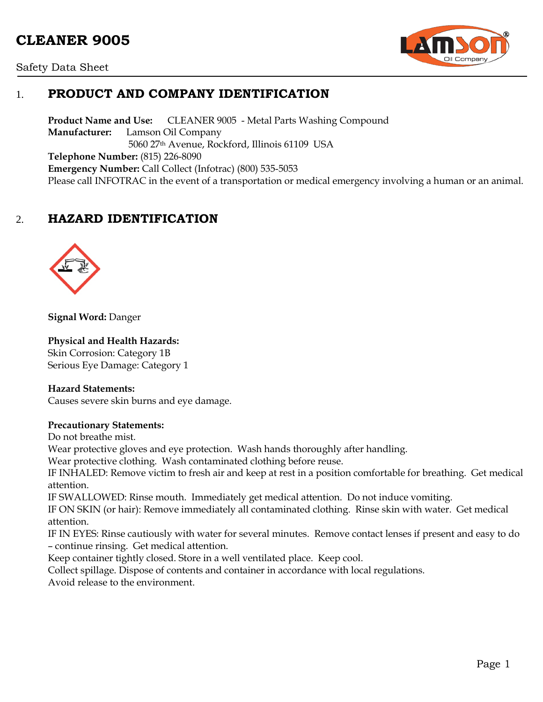# **CLEANER 9005**





# 1. **PRODUCT AND COMPANY IDENTIFICATION**

**Product Name and Use:** CLEANER 9005 - Metal Parts Washing Compound **Manufacturer:** Lamson Oil Company 5060 27th Avenue, Rockford, Illinois 61109 USA **Telephone Number:** (815) 226-8090 **Emergency Number:** Call Collect (Infotrac) (800) 535-5053 Please call INFOTRAC in the event of a transportation or medical emergency involving a human or an animal.

# 2. **HAZARD IDENTIFICATION**



**Signal Word:** Danger

#### **Physical and Health Hazards:**

Skin Corrosion: Category 1B Serious Eye Damage: Category 1

#### **Hazard Statements:**

Causes severe skin burns and eye damage.

#### **Precautionary Statements:**

Do not breathe mist.

Wear protective gloves and eye protection. Wash hands thoroughly after handling.

Wear protective clothing. Wash contaminated clothing before reuse.

IF INHALED: Remove victim to fresh air and keep at rest in a position comfortable for breathing. Get medical attention.

IF SWALLOWED: Rinse mouth. Immediately get medical attention. Do not induce vomiting.

IF ON SKIN (or hair): Remove immediately all contaminated clothing. Rinse skin with water. Get medical attention.

IF IN EYES: Rinse cautiously with water for several minutes. Remove contact lenses if present and easy to do – continue rinsing. Get medical attention.

Keep container tightly closed. Store in a well ventilated place. Keep cool.

Collect spillage. Dispose of contents and container in accordance with local regulations.

Avoid release to the environment.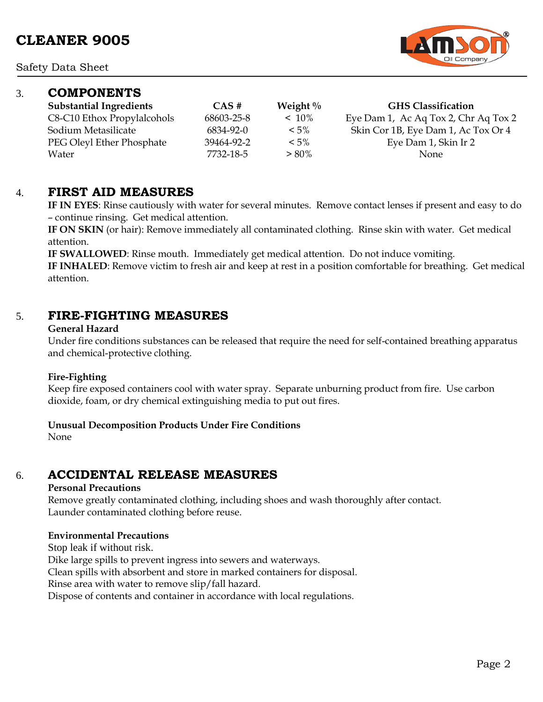### 3. **COMPONENTS**

| CUMPUNEN I 5                   |            |             |                                      |
|--------------------------------|------------|-------------|--------------------------------------|
| <b>Substantial Ingredients</b> | CAS#       | Weight $\%$ | <b>GHS Classification</b>            |
| C8-C10 Ethox Propylalcohols    | 68603-25-8 | $~10\%$     | Eye Dam 1, Ac Aq Tox 2, Chr Aq Tox 2 |
| Sodium Metasilicate            | 6834-92-0  | $< 5\%$     | Skin Cor 1B, Eye Dam 1, Ac Tox Or 4  |
| PEG Oleyl Ether Phosphate      | 39464-92-2 | $< 5\%$     | Eye Dam 1, Skin Ir 2                 |
| Water                          | 7732-18-5  | $> 80\%$    | <b>None</b>                          |

### 4. **FIRST AID MEASURES**

**IF IN EYES**: Rinse cautiously with water for several minutes. Remove contact lenses if present and easy to do – continue rinsing. Get medical attention.

**IF ON SKIN** (or hair): Remove immediately all contaminated clothing. Rinse skin with water. Get medical attention.

**IF SWALLOWED**: Rinse mouth. Immediately get medical attention. Do not induce vomiting.

**IF INHALED**: Remove victim to fresh air and keep at rest in a position comfortable for breathing. Get medical attention.

### 5. **FIRE-FIGHTING MEASURES**

#### **General Hazard**

Under fire conditions substances can be released that require the need for self-contained breathing apparatus and chemical-protective clothing.

#### **Fire-Fighting**

Keep fire exposed containers cool with water spray. Separate unburning product from fire. Use carbon dioxide, foam, or dry chemical extinguishing media to put out fires.

#### **Unusual Decomposition Products Under Fire Conditions**

None

### 6. **ACCIDENTAL RELEASE MEASURES**

#### **Personal Precautions**

Remove greatly contaminated clothing, including shoes and wash thoroughly after contact. Launder contaminated clothing before reuse.

#### **Environmental Precautions**

Stop leak if without risk.

Dike large spills to prevent ingress into sewers and waterways.

Clean spills with absorbent and store in marked containers for disposal.

Rinse area with water to remove slip/fall hazard.

Dispose of contents and container in accordance with local regulations.

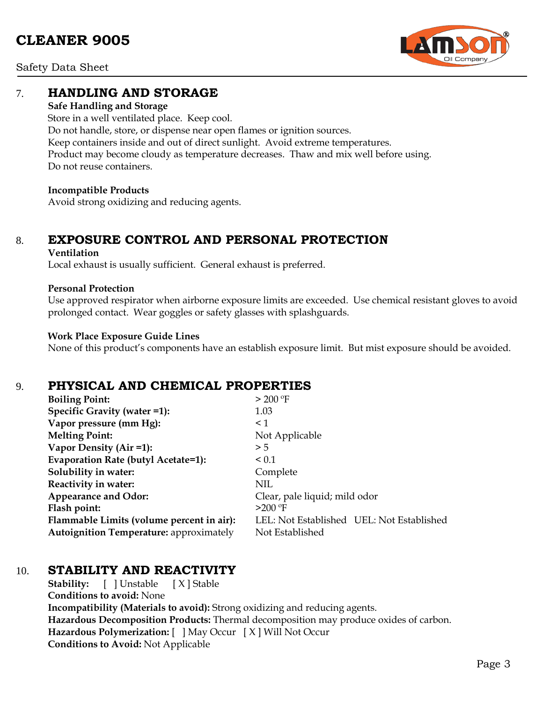# **CLEANER 9005**



Safety Data Sheet

### 7. **HANDLING AND STORAGE**

#### **Safe Handling and Storage**

Store in a well ventilated place. Keep cool. Do not handle, store, or dispense near open flames or ignition sources. Keep containers inside and out of direct sunlight. Avoid extreme temperatures. Product may become cloudy as temperature decreases. Thaw and mix well before using. Do not reuse containers.

#### **Incompatible Products**

Avoid strong oxidizing and reducing agents.

# 8. **EXPOSURE CONTROL AND PERSONAL PROTECTION**

#### **Ventilation**

Local exhaust is usually sufficient. General exhaust is preferred.

#### **Personal Protection**

Use approved respirator when airborne exposure limits are exceeded. Use chemical resistant gloves to avoid prolonged contact. Wear goggles or safety glasses with splashguards.

#### **Work Place Exposure Guide Lines**

None of this product's components have an establish exposure limit. But mist exposure should be avoided.

### 9. **PHYSICAL AND CHEMICAL PROPERTIES**

| <b>Boiling Point:</b>                          | > 200 °F                                  |
|------------------------------------------------|-------------------------------------------|
| Specific Gravity (water =1):                   | 1.03                                      |
| Vapor pressure (mm Hg):                        | $\leq 1$                                  |
| <b>Melting Point:</b>                          | Not Applicable                            |
| Vapor Density (Air =1):                        | > 5                                       |
| Evaporation Rate (butyl Acetate=1):            | ${}_{0.1}$                                |
| Solubility in water:                           | Complete                                  |
| Reactivity in water:                           | NIL                                       |
| <b>Appearance and Odor:</b>                    | Clear, pale liquid; mild odor             |
| Flash point:                                   | $>200$ °F                                 |
| Flammable Limits (volume percent in air):      | LEL: Not Established UEL: Not Established |
| <b>Autoignition Temperature: approximately</b> | Not Established                           |

### 10. **STABILITY AND REACTIVITY**

**Stability:** [ ] Unstable [ X ] Stable **Conditions to avoid:** None **Incompatibility (Materials to avoid):** Strong oxidizing and reducing agents. **Hazardous Decomposition Products:** Thermal decomposition may produce oxides of carbon. **Hazardous Polymerization:** [ ] May Occur [ X ] Will Not Occur **Conditions to Avoid:** Not Applicable